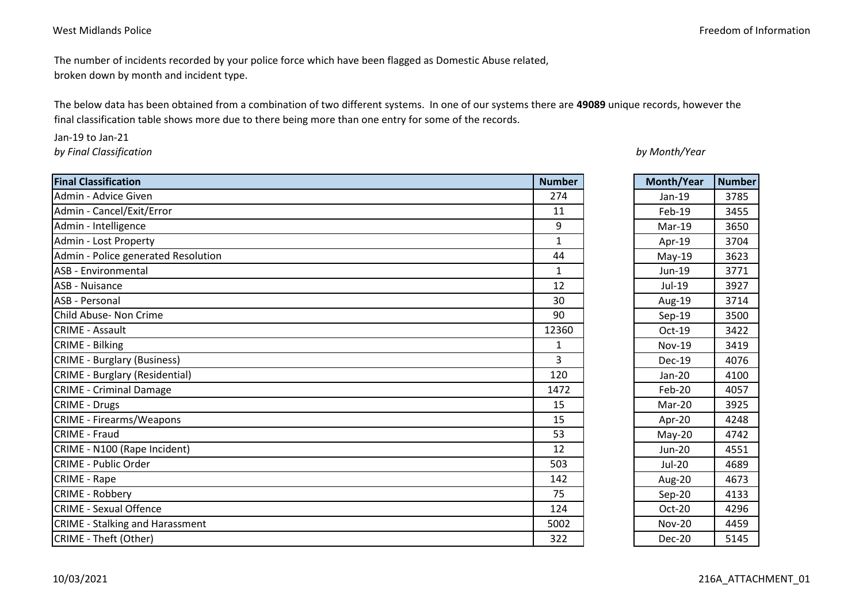The number of incidents recorded by your police force which have been flagged as Domestic Abuse related, broken down by month and incident type.

The below data has been obtained from a combination of two different systems. In one of our systems there are **49089** unique records, however the final classification table shows more due to there being more than one entry for some of the records.

Jan-19 to Jan-21

*by Final Classification*

| <b>Final Classification</b>            | <b>Number</b>  | Month/Year    | <b>Number</b> |
|----------------------------------------|----------------|---------------|---------------|
| Admin - Advice Given                   | 274            | Jan-19        | 3785          |
| Admin - Cancel/Exit/Error              | 11             | $Feb-19$      | 3455          |
| Admin - Intelligence                   | 9              | Mar-19        | 3650          |
| Admin - Lost Property                  | $\mathbf{1}$   | Apr-19        | 3704          |
| Admin - Police generated Resolution    | 44             | $May-19$      | 3623          |
| <b>ASB</b> - Environmental             | $\mathbf{1}$   | Jun-19        | 3771          |
| ASB - Nuisance                         | 12             | Jul-19        | 3927          |
| ASB - Personal                         | 30             | Aug-19        | 3714          |
| Child Abuse- Non Crime                 | 90             | $Sep-19$      | 3500          |
| <b>CRIME - Assault</b>                 | 12360          | Oct-19        | 3422          |
| <b>CRIME - Bilking</b>                 | $\mathbf{1}$   | <b>Nov-19</b> | 3419          |
| <b>CRIME - Burglary (Business)</b>     | $\overline{3}$ | <b>Dec-19</b> | 4076          |
| <b>CRIME - Burglary (Residential)</b>  | 120            | Jan-20        | 4100          |
| <b>CRIME - Criminal Damage</b>         | 1472           | Feb-20        | 4057          |
| CRIME - Drugs                          | 15             | Mar-20        | 3925          |
| <b>CRIME - Firearms/Weapons</b>        | 15             | Apr-20        | 4248          |
| CRIME - Fraud                          | 53             | $May-20$      | 4742          |
| CRIME - N100 (Rape Incident)           | 12             | <b>Jun-20</b> | 4551          |
| <b>CRIME - Public Order</b>            | 503            | <b>Jul-20</b> | 4689          |
| CRIME - Rape                           | 142            | Aug-20        | 4673          |
| CRIME - Robbery                        | 75             | $Sep-20$      | 4133          |
| <b>CRIME - Sexual Offence</b>          | 124            | Oct-20        | 4296          |
| <b>CRIME - Stalking and Harassment</b> | 5002           | <b>Nov-20</b> | 4459          |
| CRIME - Theft (Other)                  | 322            | <b>Dec-20</b> | 5145          |

*by Month/Year*

| Month/Year    | <b>Number</b> |
|---------------|---------------|
| Jan-19        | 3785          |
| Feb-19        | 3455          |
| Mar-19        | 3650          |
| Apr-19        | 3704          |
| May-19        | 3623          |
| Jun-19        | 3771          |
| Jul-19        | 3927          |
| Aug-19        | 3714          |
| $Sep-19$      | 3500          |
| Oct-19        | 3422          |
| <b>Nov-19</b> | 3419          |
| <b>Dec-19</b> | 4076          |
| Jan-20        | 4100          |
| Feb-20        | 4057          |
| Mar-20        | 3925          |
| Apr-20        | 4248          |
| May-20        | 4742          |
| Jun-20        | 4551          |
| <b>Jul-20</b> | 4689          |
| Aug-20        | 4673          |
| Sep-20        | 4133          |
| Oct-20        | 4296          |
| <b>Nov-20</b> | 4459          |
| <b>Dec-20</b> | 5145          |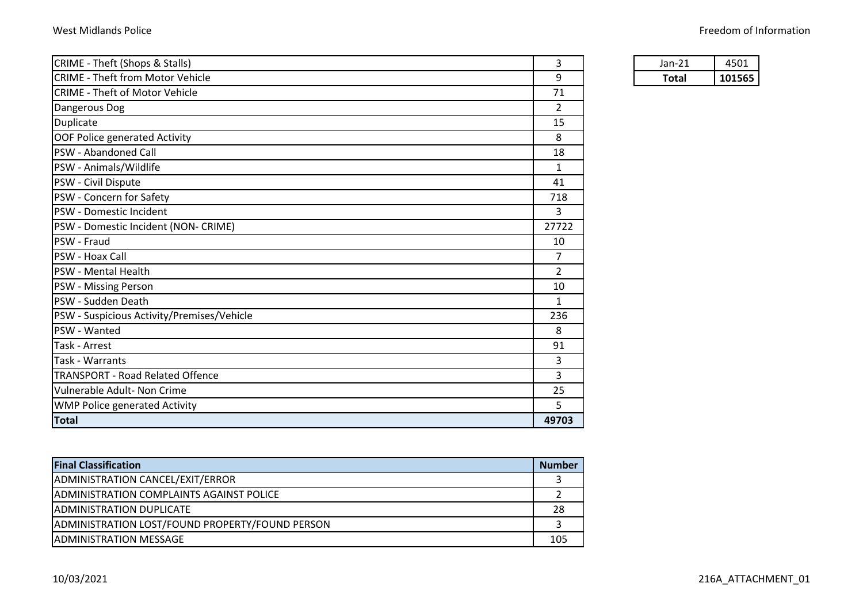| CRIME - Theft (Shops & Stalls)             | 3              | $Jan-21$     | 4501   |
|--------------------------------------------|----------------|--------------|--------|
| <b>CRIME - Theft from Motor Vehicle</b>    | 9              | <b>Total</b> | 101565 |
| <b>CRIME - Theft of Motor Vehicle</b>      | 71             |              |        |
| Dangerous Dog                              | 2              |              |        |
| Duplicate                                  | 15             |              |        |
| OOF Police generated Activity              | 8              |              |        |
| PSW - Abandoned Call                       | 18             |              |        |
| PSW - Animals/Wildlife                     | 1              |              |        |
| PSW - Civil Dispute                        | 41             |              |        |
| PSW - Concern for Safety                   | 718            |              |        |
| PSW - Domestic Incident                    | 3              |              |        |
| PSW - Domestic Incident (NON- CRIME)       | 27722          |              |        |
| PSW - Fraud                                | 10             |              |        |
| <b>PSW - Hoax Call</b>                     | 7              |              |        |
| <b>PSW</b> - Mental Health                 | $\overline{2}$ |              |        |
| <b>PSW</b> - Missing Person                | 10             |              |        |
| PSW - Sudden Death                         | 1              |              |        |
| PSW - Suspicious Activity/Premises/Vehicle | 236            |              |        |
| PSW - Wanted                               | 8              |              |        |
| Task - Arrest                              | 91             |              |        |
| Task - Warrants                            | 3              |              |        |
| <b>TRANSPORT - Road Related Offence</b>    | 3              |              |        |
| Vulnerable Adult- Non Crime                | 25             |              |        |
| <b>WMP Police generated Activity</b>       | 5              |              |        |
| <b>Total</b>                               | 49703          |              |        |

| Jan-21      |       |
|-------------|-------|
| <b>otal</b> | 11565 |

| <b>Final Classification</b>                      | <b>Number</b> |
|--------------------------------------------------|---------------|
| ADMINISTRATION CANCEL/EXIT/ERROR                 |               |
| <b>IADMINISTRATION COMPLAINTS AGAINST POLICE</b> |               |
| ADMINISTRATION DUPLICATE                         | 28            |
| ADMINISTRATION LOST/FOUND PROPERTY/FOUND PERSON  |               |
| <b>IADMINISTRATION MESSAGE</b>                   | 105           |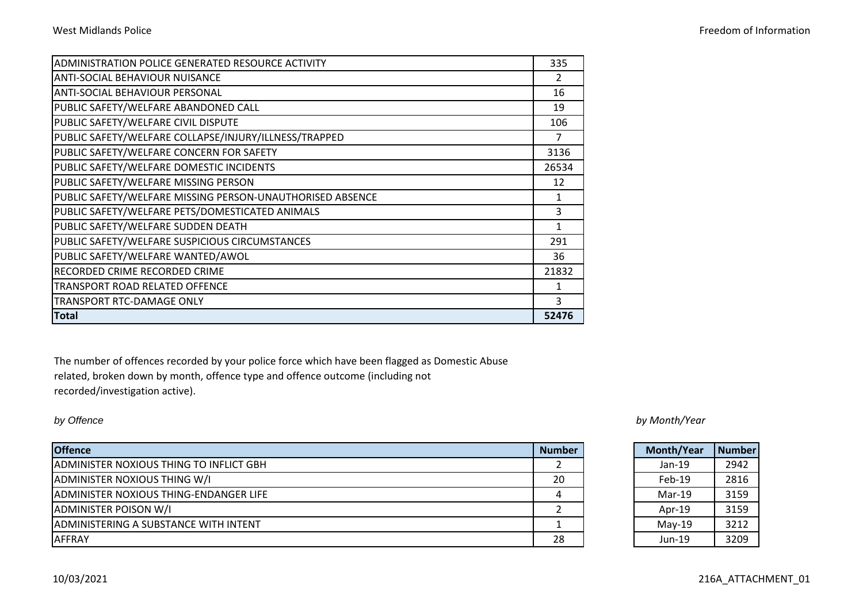| West Midlands Police | Freedom of Information |
|----------------------|------------------------|
|                      |                        |

| ADMINISTRATION POLICE GENERATED RESOURCE ACTIVITY         | 335   |
|-----------------------------------------------------------|-------|
| <b>ANTI-SOCIAL BEHAVIOUR NUISANCE</b>                     | 2     |
| <b>ANTI-SOCIAL BEHAVIOUR PERSONAL</b>                     | 16    |
| PUBLIC SAFETY/WELFARE ABANDONED CALL                      | 19    |
| PUBLIC SAFETY/WELFARE CIVIL DISPUTE                       | 106   |
| PUBLIC SAFETY/WELFARE COLLAPSE/INJURY/ILLNESS/TRAPPED     | 7     |
| PUBLIC SAFETY/WELFARE CONCERN FOR SAFETY                  | 3136  |
| PUBLIC SAFETY/WELFARE DOMESTIC INCIDENTS                  | 26534 |
| PUBLIC SAFETY/WELFARE MISSING PERSON                      | 12    |
| PUBLIC SAFETY/WELFARE MISSING PERSON-UNAUTHORISED ABSENCE |       |
| PUBLIC SAFETY/WELFARE PETS/DOMESTICATED ANIMALS           | 3     |
| PUBLIC SAFETY/WELFARE SUDDEN DEATH                        |       |
| PUBLIC SAFETY/WELFARE SUSPICIOUS CIRCUMSTANCES            | 291   |
| PUBLIC SAFETY/WELFARE WANTED/AWOL                         | 36    |
| <b>RECORDED CRIME RECORDED CRIME</b>                      | 21832 |
| <b>TRANSPORT ROAD RELATED OFFENCE</b>                     | 1     |
| TRANSPORT RTC-DAMAGE ONLY                                 | ξ     |
| <b>Total</b>                                              | 52476 |

The number of offences recorded by your police force which have been flagged as Domestic Abuse related, broken down by month, offence type and offence outcome (including not recorded/investigation active).

| <b>Offence</b>                          | <b>Number</b> | Month/Year | l Number |
|-----------------------------------------|---------------|------------|----------|
| ADMINISTER NOXIOUS THING TO INFLICT GBH |               | $Jan-19$   | 2942     |
| ADMINISTER NOXIOUS THING W/I            | 20            | $Feb-19$   | 2816     |
| ADMINISTER NOXIOUS THING-ENDANGER LIFE  |               | $Mar-19$   | 3159     |
| <b>ADMINISTER POISON W/I</b>            |               | Apr- $19$  | 3159     |
| ADMINISTERING A SUBSTANCE WITH INTENT   |               | $Mav-19$   | 3212     |
| <b>AFFRAY</b>                           | 28            | $Jun-19$   | 3209     |

*by Offence by Month/Year*

| <b>Month/Year</b> | <b>Number</b> |
|-------------------|---------------|
| $Jan-19$          | 2942          |
| Feb-19            | 2816          |
| Mar-19            | 3159          |
| Apr-19            | 3159          |
| May-19            | 3212          |
| Jun-19            | 3209          |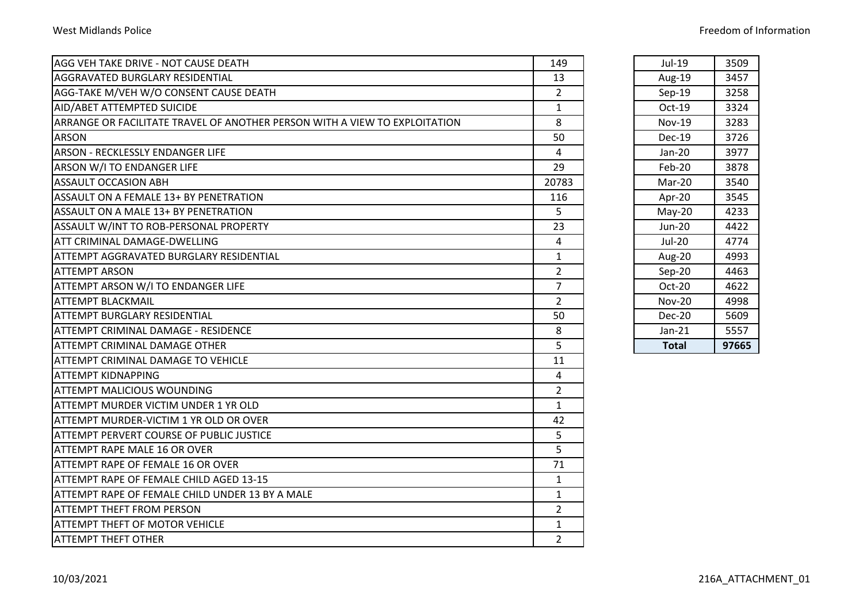| AGG VEH TAKE DRIVE - NOT CAUSE DEATH                                       | 149            | Jul-19        | 3509  |
|----------------------------------------------------------------------------|----------------|---------------|-------|
| <b>AGGRAVATED BURGLARY RESIDENTIAL</b>                                     | 13             | Aug-19        | 3457  |
| AGG-TAKE M/VEH W/O CONSENT CAUSE DEATH                                     | $\overline{2}$ | $Sep-19$      | 3258  |
| AID/ABET ATTEMPTED SUICIDE                                                 | $\mathbf{1}$   | Oct-19        | 3324  |
| ARRANGE OR FACILITATE TRAVEL OF ANOTHER PERSON WITH A VIEW TO EXPLOITATION | 8              | <b>Nov-19</b> | 3283  |
| <b>ARSON</b>                                                               | 50             | $Dec-19$      | 3726  |
| ARSON - RECKLESSLY ENDANGER LIFE                                           | 4              | Jan-20        | 3977  |
| <b>ARSON W/I TO ENDANGER LIFE</b>                                          | 29             | Feb-20        | 3878  |
| <b>ASSAULT OCCASION ABH</b>                                                | 20783          | Mar-20        | 3540  |
| ASSAULT ON A FEMALE 13+ BY PENETRATION                                     | 116            | Apr-20        | 3545  |
| ASSAULT ON A MALE 13+ BY PENETRATION                                       | 5              | $May-20$      | 4233  |
| ASSAULT W/INT TO ROB-PERSONAL PROPERTY                                     | 23             | Jun-20        | 4422  |
| <b>ATT CRIMINAL DAMAGE-DWELLING</b>                                        | 4              | $Jul-20$      | 4774  |
| ATTEMPT AGGRAVATED BURGLARY RESIDENTIAL                                    | $\mathbf{1}$   | Aug-20        | 4993  |
| <b>ATTEMPT ARSON</b>                                                       | $\overline{2}$ | Sep-20        | 4463  |
| <b>ATTEMPT ARSON W/I TO ENDANGER LIFE</b>                                  | $\overline{7}$ | Oct-20        | 4622  |
| <b>ATTEMPT BLACKMAIL</b>                                                   | $\overline{2}$ | <b>Nov-20</b> | 4998  |
| <b>ATTEMPT BURGLARY RESIDENTIAL</b>                                        | 50             | Dec-20        | 5609  |
| IATTEMPT CRIMINAL DAMAGE - RESIDENCE                                       | 8              | $Jan-21$      | 5557  |
| <b>ATTEMPT CRIMINAL DAMAGE OTHER</b>                                       | 5              | <b>Total</b>  | 97665 |
| <b>ATTEMPT CRIMINAL DAMAGE TO VEHICLE</b>                                  | 11             |               |       |
| ATTEMPT KIDNAPPING                                                         | 4              |               |       |
| IATTEMPT MALICIOUS WOUNDING                                                | $\overline{2}$ |               |       |
| ATTEMPT MURDER VICTIM UNDER 1 YR OLD                                       | $\mathbf{1}$   |               |       |
| ATTEMPT MURDER-VICTIM 1 YR OLD OR OVER                                     | 42             |               |       |
| <b>ATTEMPT PERVERT COURSE OF PUBLIC JUSTICE</b>                            | 5              |               |       |
| <b>ATTEMPT RAPE MALE 16 OR OVER</b>                                        | 5              |               |       |
| <b>ATTEMPT RAPE OF FEMALE 16 OR OVER</b>                                   | 71             |               |       |
| ATTEMPT RAPE OF FEMALE CHILD AGED 13-15                                    | $\mathbf{1}$   |               |       |
| ATTEMPT RAPE OF FEMALE CHILD UNDER 13 BY A MALE                            | $\mathbf{1}$   |               |       |
| <b>ATTEMPT THEFT FROM PERSON</b>                                           | $\overline{2}$ |               |       |
| <b>ATTEMPT THEFT OF MOTOR VEHICLE</b>                                      | $\mathbf{1}$   |               |       |
| <b>ATTEMPT THEFT OTHER</b>                                                 | $\overline{2}$ |               |       |

| Jul-19        | 3509  |
|---------------|-------|
| Aug-19        | 3457  |
| Sep-19        | 3258  |
| Oct-19        | 3324  |
| Nov-19        | 3283  |
| Dec-19        | 3726  |
| Jan-20        | 3977  |
| Feb-20        | 3878  |
| Mar-20        | 3540  |
| Apr-20        | 3545  |
| May-20        | 4233  |
| Jun-20        | 4422  |
| $Jul-20$      | 4774  |
| Aug-20        | 4993  |
| Sep-20        | 4463  |
| Oct-20        | 4622  |
| <b>Nov-20</b> | 4998  |
| Dec-20        | 5609  |
| Jan-21        | 5557  |
| Total         | 97665 |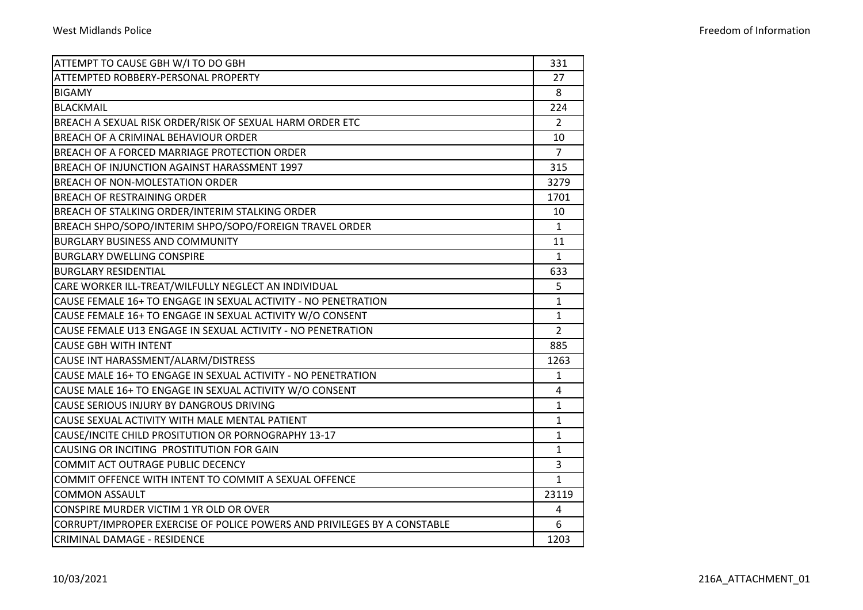|  |  |  | Freedom of Information |
|--|--|--|------------------------|
|--|--|--|------------------------|

| ATTEMPT TO CAUSE GBH W/I TO DO GBH                                       | 331            |
|--------------------------------------------------------------------------|----------------|
| <b>ATTEMPTED ROBBERY-PERSONAL PROPERTY</b>                               | 27             |
| <b>BIGAMY</b>                                                            | 8              |
| <b>BLACKMAIL</b>                                                         | 224            |
| BREACH A SEXUAL RISK ORDER/RISK OF SEXUAL HARM ORDER ETC                 | $\overline{2}$ |
| <b>BREACH OF A CRIMINAL BEHAVIOUR ORDER</b>                              | 10             |
| BREACH OF A FORCED MARRIAGE PROTECTION ORDER                             | $\overline{7}$ |
| BREACH OF INJUNCTION AGAINST HARASSMENT 1997                             | 315            |
| BREACH OF NON-MOLESTATION ORDER                                          | 3279           |
| <b>BREACH OF RESTRAINING ORDER</b>                                       | 1701           |
| BREACH OF STALKING ORDER/INTERIM STALKING ORDER                          | 10             |
| BREACH SHPO/SOPO/INTERIM SHPO/SOPO/FOREIGN TRAVEL ORDER                  | $\mathbf{1}$   |
| <b>BURGLARY BUSINESS AND COMMUNITY</b>                                   | 11             |
| <b>BURGLARY DWELLING CONSPIRE</b>                                        | $\mathbf{1}$   |
| <b>BURGLARY RESIDENTIAL</b>                                              | 633            |
| CARE WORKER ILL-TREAT/WILFULLY NEGLECT AN INDIVIDUAL                     | 5              |
| CAUSE FEMALE 16+ TO ENGAGE IN SEXUAL ACTIVITY - NO PENETRATION           | $\mathbf{1}$   |
| CAUSE FEMALE 16+ TO ENGAGE IN SEXUAL ACTIVITY W/O CONSENT                | $\mathbf{1}$   |
| CAUSE FEMALE U13 ENGAGE IN SEXUAL ACTIVITY - NO PENETRATION              | $\overline{2}$ |
| <b>CAUSE GBH WITH INTENT</b>                                             | 885            |
| CAUSE INT HARASSMENT/ALARM/DISTRESS                                      | 1263           |
| CAUSE MALE 16+ TO ENGAGE IN SEXUAL ACTIVITY - NO PENETRATION             | $\mathbf{1}$   |
| CAUSE MALE 16+ TO ENGAGE IN SEXUAL ACTIVITY W/O CONSENT                  | 4              |
| CAUSE SERIOUS INJURY BY DANGROUS DRIVING                                 | 1              |
| CAUSE SEXUAL ACTIVITY WITH MALE MENTAL PATIENT                           | 1              |
| CAUSE/INCITE CHILD PROSITUTION OR PORNOGRAPHY 13-17                      | $\mathbf{1}$   |
| CAUSING OR INCITING PROSTITUTION FOR GAIN                                | $\mathbf{1}$   |
| COMMIT ACT OUTRAGE PUBLIC DECENCY                                        | 3              |
| COMMIT OFFENCE WITH INTENT TO COMMIT A SEXUAL OFFENCE                    | $\mathbf{1}$   |
| <b>COMMON ASSAULT</b>                                                    | 23119          |
| CONSPIRE MURDER VICTIM 1 YR OLD OR OVER                                  | 4              |
| CORRUPT/IMPROPER EXERCISE OF POLICE POWERS AND PRIVILEGES BY A CONSTABLE | 6              |
| <b>CRIMINAL DAMAGE - RESIDENCE</b>                                       | 1203           |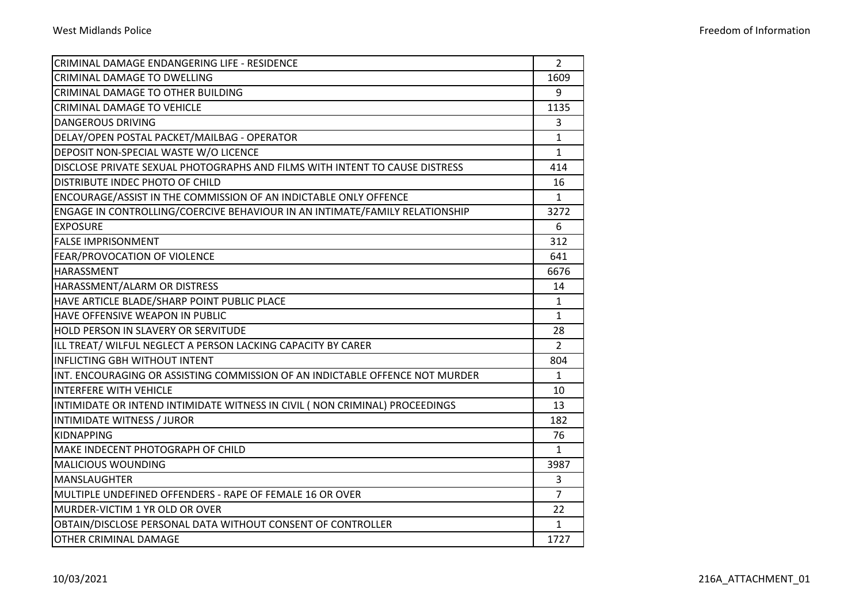| CRIMINAL DAMAGE ENDANGERING LIFE - RESIDENCE                                 | $\overline{2}$ |
|------------------------------------------------------------------------------|----------------|
| <b>CRIMINAL DAMAGE TO DWELLING</b>                                           | 1609           |
| <b>CRIMINAL DAMAGE TO OTHER BUILDING</b>                                     | 9              |
| <b>CRIMINAL DAMAGE TO VEHICLE</b>                                            | 1135           |
| <b>DANGEROUS DRIVING</b>                                                     | 3              |
| DELAY/OPEN POSTAL PACKET/MAILBAG - OPERATOR                                  | $\mathbf{1}$   |
| DEPOSIT NON-SPECIAL WASTE W/O LICENCE                                        | $\mathbf{1}$   |
| DISCLOSE PRIVATE SEXUAL PHOTOGRAPHS AND FILMS WITH INTENT TO CAUSE DISTRESS  | 414            |
| DISTRIBUTE INDEC PHOTO OF CHILD                                              | 16             |
| ENCOURAGE/ASSIST IN THE COMMISSION OF AN INDICTABLE ONLY OFFENCE             | $\mathbf{1}$   |
| ENGAGE IN CONTROLLING/COERCIVE BEHAVIOUR IN AN INTIMATE/FAMILY RELATIONSHIP  | 3272           |
| <b>EXPOSURE</b>                                                              | 6              |
| <b>FALSE IMPRISONMENT</b>                                                    | 312            |
| FEAR/PROVOCATION OF VIOLENCE                                                 | 641            |
| HARASSMENT                                                                   | 6676           |
| HARASSMENT/ALARM OR DISTRESS                                                 | 14             |
| HAVE ARTICLE BLADE/SHARP POINT PUBLIC PLACE                                  | $\mathbf{1}$   |
| HAVE OFFENSIVE WEAPON IN PUBLIC                                              | $\mathbf{1}$   |
| <b>HOLD PERSON IN SLAVERY OR SERVITUDE</b>                                   | 28             |
| ILL TREAT/ WILFUL NEGLECT A PERSON LACKING CAPACITY BY CARER                 | $\overline{2}$ |
| <b>INFLICTING GBH WITHOUT INTENT</b>                                         | 804            |
| INT. ENCOURAGING OR ASSISTING COMMISSION OF AN INDICTABLE OFFENCE NOT MURDER | $\mathbf{1}$   |
| <b>INTERFERE WITH VEHICLE</b>                                                | 10             |
| INTIMIDATE OR INTEND INTIMIDATE WITNESS IN CIVIL (NON CRIMINAL) PROCEEDINGS  | 13             |
| INTIMIDATE WITNESS / JUROR                                                   | 182            |
| <b>KIDNAPPING</b>                                                            | 76             |
| MAKE INDECENT PHOTOGRAPH OF CHILD                                            | $\mathbf{1}$   |
| <b>MALICIOUS WOUNDING</b>                                                    | 3987           |
| <b>MANSLAUGHTER</b>                                                          | 3              |
| MULTIPLE UNDEFINED OFFENDERS - RAPE OF FEMALE 16 OR OVER                     | $\overline{7}$ |
| MURDER-VICTIM 1 YR OLD OR OVER                                               | 22             |
| OBTAIN/DISCLOSE PERSONAL DATA WITHOUT CONSENT OF CONTROLLER                  | $\mathbf{1}$   |
| OTHER CRIMINAL DAMAGE                                                        | 1727           |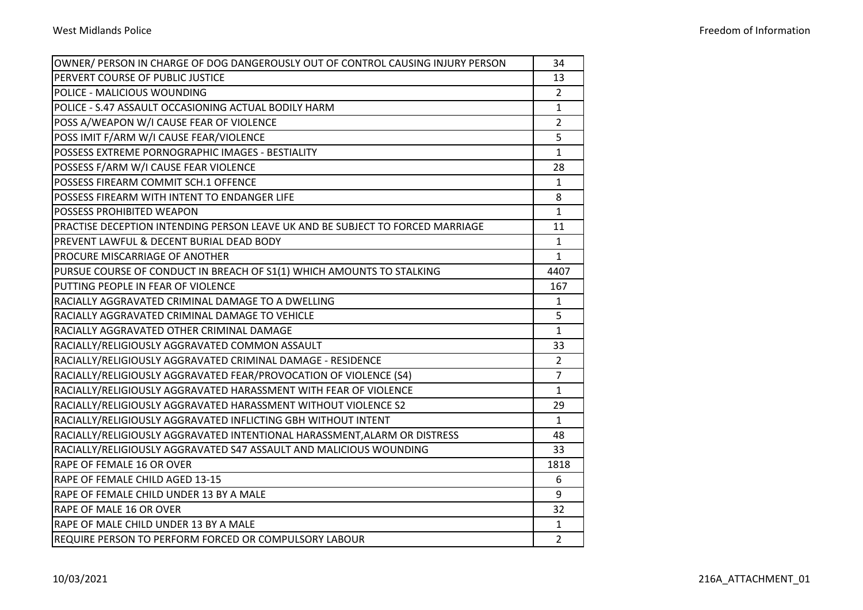| OWNER/ PERSON IN CHARGE OF DOG DANGEROUSLY OUT OF CONTROL CAUSING INJURY PERSON | 34             |
|---------------------------------------------------------------------------------|----------------|
| PERVERT COURSE OF PUBLIC JUSTICE                                                | 13             |
| POLICE - MALICIOUS WOUNDING                                                     | $\overline{2}$ |
| POLICE - S.47 ASSAULT OCCASIONING ACTUAL BODILY HARM                            | $\mathbf{1}$   |
| POSS A/WEAPON W/I CAUSE FEAR OF VIOLENCE                                        | $\overline{2}$ |
| POSS IMIT F/ARM W/I CAUSE FEAR/VIOLENCE                                         | 5              |
| POSSESS EXTREME PORNOGRAPHIC IMAGES - BESTIALITY                                | $\mathbf{1}$   |
| POSSESS F/ARM W/I CAUSE FEAR VIOLENCE                                           | 28             |
| POSSESS FIREARM COMMIT SCH.1 OFFENCE                                            | $\mathbf{1}$   |
| POSSESS FIREARM WITH INTENT TO ENDANGER LIFE                                    | 8              |
| <b>POSSESS PROHIBITED WEAPON</b>                                                | $\mathbf{1}$   |
| PRACTISE DECEPTION INTENDING PERSON LEAVE UK AND BE SUBJECT TO FORCED MARRIAGE  | 11             |
| IPREVENT LAWFUL & DECENT BURIAL DEAD BODY                                       | $\mathbf{1}$   |
| <b>PROCURE MISCARRIAGE OF ANOTHER</b>                                           | $\mathbf{1}$   |
| PURSUE COURSE OF CONDUCT IN BREACH OF S1(1) WHICH AMOUNTS TO STALKING           | 4407           |
| PUTTING PEOPLE IN FEAR OF VIOLENCE                                              | 167            |
| RACIALLY AGGRAVATED CRIMINAL DAMAGE TO A DWELLING                               | $\mathbf{1}$   |
| RACIALLY AGGRAVATED CRIMINAL DAMAGE TO VEHICLE                                  | 5              |
| RACIALLY AGGRAVATED OTHER CRIMINAL DAMAGE                                       | $\mathbf{1}$   |
| RACIALLY/RELIGIOUSLY AGGRAVATED COMMON ASSAULT                                  | 33             |
| RACIALLY/RELIGIOUSLY AGGRAVATED CRIMINAL DAMAGE - RESIDENCE                     | $\overline{2}$ |
| RACIALLY/RELIGIOUSLY AGGRAVATED FEAR/PROVOCATION OF VIOLENCE (S4)               | $\overline{7}$ |
| RACIALLY/RELIGIOUSLY AGGRAVATED HARASSMENT WITH FEAR OF VIOLENCE                | $\mathbf{1}$   |
| RACIALLY/RELIGIOUSLY AGGRAVATED HARASSMENT WITHOUT VIOLENCE S2                  | 29             |
| RACIALLY/RELIGIOUSLY AGGRAVATED INFLICTING GBH WITHOUT INTENT                   | $\mathbf{1}$   |
| RACIALLY/RELIGIOUSLY AGGRAVATED INTENTIONAL HARASSMENT,ALARM OR DISTRESS        | 48             |
| RACIALLY/RELIGIOUSLY AGGRAVATED S47 ASSAULT AND MALICIOUS WOUNDING              | 33             |
| RAPE OF FEMALE 16 OR OVER                                                       | 1818           |
| RAPE OF FEMALE CHILD AGED 13-15                                                 | 6              |
| RAPE OF FEMALE CHILD UNDER 13 BY A MALE                                         | 9              |
| <b>RAPE OF MALE 16 OR OVER</b>                                                  | 32             |
| RAPE OF MALE CHILD UNDER 13 BY A MALE                                           | $\mathbf{1}$   |
| REQUIRE PERSON TO PERFORM FORCED OR COMPULSORY LABOUR                           | $\overline{2}$ |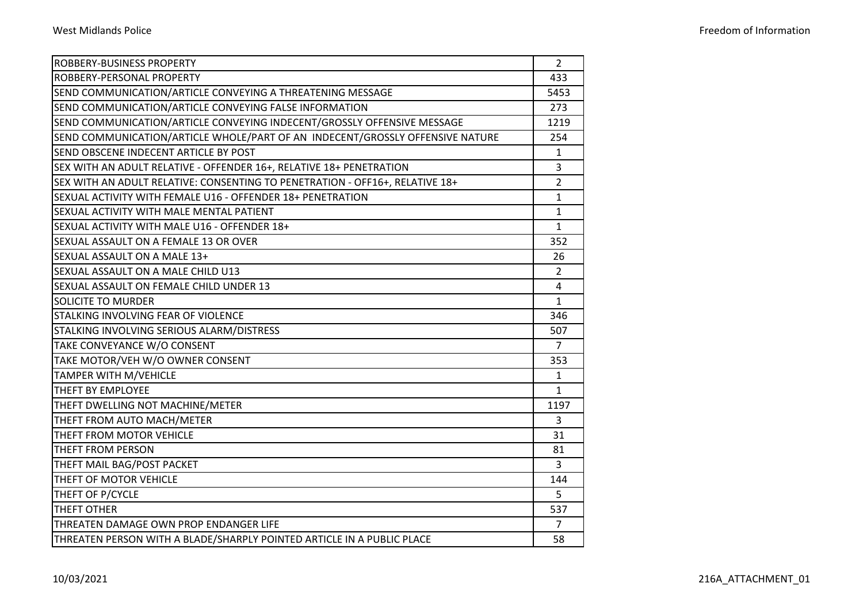|  | Freedom of Information |
|--|------------------------|
|--|------------------------|

| <b>ROBBERY-BUSINESS PROPERTY</b>                                              | $\overline{2}$ |
|-------------------------------------------------------------------------------|----------------|
| ROBBERY-PERSONAL PROPERTY                                                     | 433            |
| SEND COMMUNICATION/ARTICLE CONVEYING A THREATENING MESSAGE                    | 5453           |
| SEND COMMUNICATION/ARTICLE CONVEYING FALSE INFORMATION                        | 273            |
| SEND COMMUNICATION/ARTICLE CONVEYING INDECENT/GROSSLY OFFENSIVE MESSAGE       | 1219           |
| SEND COMMUNICATION/ARTICLE WHOLE/PART OF AN INDECENT/GROSSLY OFFENSIVE NATURE | 254            |
| SEND OBSCENE INDECENT ARTICLE BY POST                                         | 1              |
| SEX WITH AN ADULT RELATIVE - OFFENDER 16+, RELATIVE 18+ PENETRATION           | 3              |
| SEX WITH AN ADULT RELATIVE: CONSENTING TO PENETRATION - OFF16+, RELATIVE 18+  | $\overline{2}$ |
| SEXUAL ACTIVITY WITH FEMALE U16 - OFFENDER 18+ PENETRATION                    | $\mathbf{1}$   |
| SEXUAL ACTIVITY WITH MALE MENTAL PATIENT                                      | $\mathbf{1}$   |
| SEXUAL ACTIVITY WITH MALE U16 - OFFENDER 18+                                  | $\mathbf{1}$   |
| SEXUAL ASSAULT ON A FEMALE 13 OR OVER                                         | 352            |
| SEXUAL ASSAULT ON A MALE 13+                                                  | 26             |
| SEXUAL ASSAULT ON A MALE CHILD U13                                            | $\overline{2}$ |
| SEXUAL ASSAULT ON FEMALE CHILD UNDER 13                                       | 4              |
| <b>SOLICITE TO MURDER</b>                                                     | $\mathbf{1}$   |
| <b>STALKING INVOLVING FEAR OF VIOLENCE</b>                                    | 346            |
| STALKING INVOLVING SERIOUS ALARM/DISTRESS                                     | 507            |
| TAKE CONVEYANCE W/O CONSENT                                                   | 7              |
| TAKE MOTOR/VEH W/O OWNER CONSENT                                              | 353            |
| <b>TAMPER WITH M/VEHICLE</b>                                                  | $\mathbf{1}$   |
| <b>THEFT BY EMPLOYEE</b>                                                      | 1              |
| THEFT DWELLING NOT MACHINE/METER                                              | 1197           |
| THEFT FROM AUTO MACH/METER                                                    | 3              |
| THEFT FROM MOTOR VEHICLE                                                      | 31             |
| <b>THEFT FROM PERSON</b>                                                      | 81             |
| THEFT MAIL BAG/POST PACKET                                                    | 3              |
| THEFT OF MOTOR VEHICLE                                                        | 144            |
| THEFT OF P/CYCLE                                                              | 5              |
| <b>THEFT OTHER</b>                                                            | 537            |
| THREATEN DAMAGE OWN PROP ENDANGER LIFE                                        | $\overline{7}$ |
| THREATEN PERSON WITH A BLADE/SHARPLY POINTED ARTICLE IN A PUBLIC PLACE        | 58             |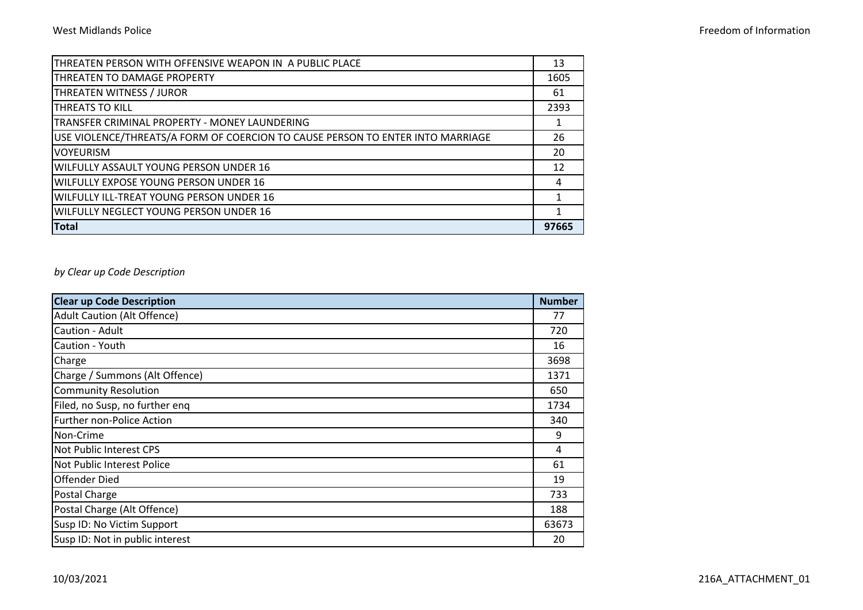| THREATEN PERSON WITH OFFENSIVE WEAPON IN A PUBLIC PLACE                        | 13    |
|--------------------------------------------------------------------------------|-------|
| THREATEN TO DAMAGE PROPERTY                                                    | 1605  |
| THREATEN WITNESS / JUROR                                                       | 61    |
| <b>THREATS TO KILL</b>                                                         | 2393  |
| TRANSFER CRIMINAL PROPERTY - MONEY LAUNDERING                                  | 1     |
| USE VIOLENCE/THREATS/A FORM OF COERCION TO CAUSE PERSON TO ENTER INTO MARRIAGE | 26    |
| <b>VOYEURISM</b>                                                               | 20    |
| WILFULLY ASSAULT YOUNG PERSON UNDER 16                                         | 12    |
| <b>WILFULLY EXPOSE YOUNG PERSON UNDER 16</b>                                   | 4     |
| <b>WILFULLY ILL-TREAT YOUNG PERSON UNDER 16</b>                                |       |
| WILFULLY NEGLECT YOUNG PERSON UNDER 16                                         | 1     |
| <b>Total</b>                                                                   | 97665 |

## *by Clear up Code Description*

| <b>Clear up Code Description</b>   | <b>Number</b> |
|------------------------------------|---------------|
| <b>Adult Caution (Alt Offence)</b> | 77            |
| Caution - Adult                    | 720           |
| Caution - Youth                    | 16            |
| Charge                             | 3698          |
| Charge / Summons (Alt Offence)     | 1371          |
| <b>Community Resolution</b>        | 650           |
| Filed, no Susp, no further eng     | 1734          |
| Further non-Police Action          | 340           |
| Non-Crime                          | 9             |
| Not Public Interest CPS            | 4             |
| Not Public Interest Police         | 61            |
| <b>Offender Died</b>               | 19            |
| Postal Charge                      | 733           |
| Postal Charge (Alt Offence)        | 188           |
| Susp ID: No Victim Support         | 63673         |
| Susp ID: Not in public interest    | 20            |